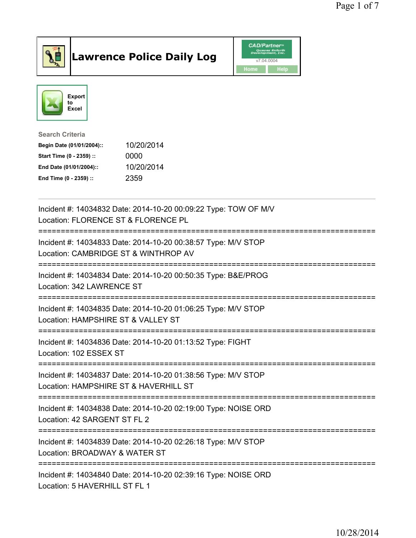

## Lawrence Police Daily Log **Daniel CAD/Partner**





Search Criteria Begin Date (01/01/2004):: 10/20/2014 Start Time (0 - 2359) :: 0000 End Date (01/01/2004):: 10/20/2014 End Time (0 - 2359) :: 2359

| Incident #: 14034832 Date: 2014-10-20 00:09:22 Type: TOW OF M/V<br>Location: FLORENCE ST & FLORENCE PL                                       |
|----------------------------------------------------------------------------------------------------------------------------------------------|
| Incident #: 14034833 Date: 2014-10-20 00:38:57 Type: M/V STOP<br>Location: CAMBRIDGE ST & WINTHROP AV<br>=================================== |
| Incident #: 14034834 Date: 2014-10-20 00:50:35 Type: B&E/PROG<br>Location: 342 LAWRENCE ST                                                   |
| Incident #: 14034835 Date: 2014-10-20 01:06:25 Type: M/V STOP<br>Location: HAMPSHIRE ST & VALLEY ST                                          |
| Incident #: 14034836 Date: 2014-10-20 01:13:52 Type: FIGHT<br>Location: 102 ESSEX ST                                                         |
| Incident #: 14034837 Date: 2014-10-20 01:38:56 Type: M/V STOP<br>Location: HAMPSHIRE ST & HAVERHILL ST                                       |
| Incident #: 14034838 Date: 2014-10-20 02:19:00 Type: NOISE ORD<br>Location: 42 SARGENT ST FL 2                                               |
| Incident #: 14034839 Date: 2014-10-20 02:26:18 Type: M/V STOP<br>Location: BROADWAY & WATER ST                                               |
| Incident #: 14034840 Date: 2014-10-20 02:39:16 Type: NOISE ORD<br>Location: 5 HAVERHILL ST FL 1                                              |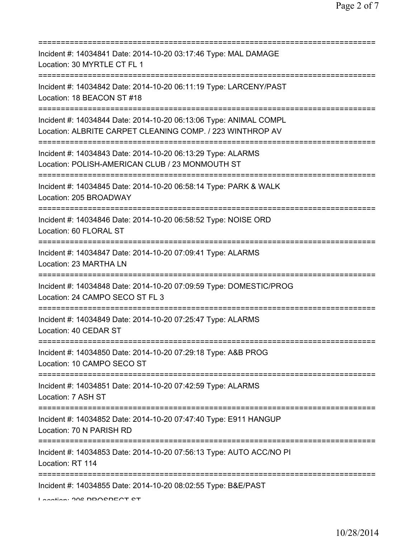| Incident #: 14034841 Date: 2014-10-20 03:17:46 Type: MAL DAMAGE<br>Location: 30 MYRTLE CT FL 1<br>=======================        |
|----------------------------------------------------------------------------------------------------------------------------------|
| Incident #: 14034842 Date: 2014-10-20 06:11:19 Type: LARCENY/PAST<br>Location: 18 BEACON ST #18                                  |
| Incident #: 14034844 Date: 2014-10-20 06:13:06 Type: ANIMAL COMPL<br>Location: ALBRITE CARPET CLEANING COMP. / 223 WINTHROP AV   |
| Incident #: 14034843 Date: 2014-10-20 06:13:29 Type: ALARMS<br>Location: POLISH-AMERICAN CLUB / 23 MONMOUTH ST                   |
| Incident #: 14034845 Date: 2014-10-20 06:58:14 Type: PARK & WALK<br>Location: 205 BROADWAY                                       |
| Incident #: 14034846 Date: 2014-10-20 06:58:52 Type: NOISE ORD<br>Location: 60 FLORAL ST<br>==================================== |
| Incident #: 14034847 Date: 2014-10-20 07:09:41 Type: ALARMS<br>Location: 23 MARTHA LN                                            |
| Incident #: 14034848 Date: 2014-10-20 07:09:59 Type: DOMESTIC/PROG<br>Location: 24 CAMPO SECO ST FL 3                            |
| ;==========<br>Incident #: 14034849 Date: 2014-10-20 07:25:47 Type: ALARMS<br>Location: 40 CEDAR ST                              |
| Incident #: 14034850 Date: 2014-10-20 07:29:18 Type: A&B PROG<br>Location: 10 CAMPO SECO ST                                      |
| Incident #: 14034851 Date: 2014-10-20 07:42:59 Type: ALARMS<br>Location: 7 ASH ST                                                |
| Incident #: 14034852 Date: 2014-10-20 07:47:40 Type: E911 HANGUP<br>Location: 70 N PARISH RD                                     |
| Incident #: 14034853 Date: 2014-10-20 07:56:13 Type: AUTO ACC/NO PI<br>Location: RT 114                                          |
| Incident #: 14034855 Date: 2014-10-20 08:02:55 Type: B&E/PAST                                                                    |

Location: 200 PROCPECT CT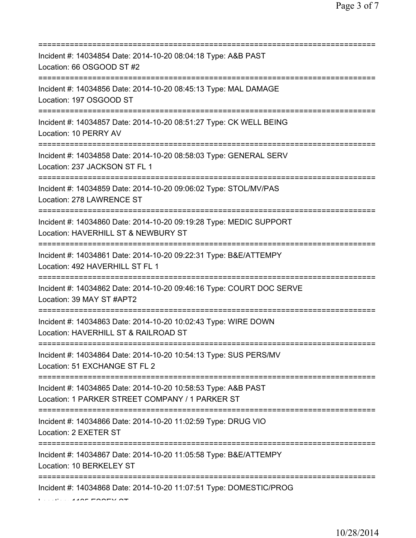| Incident #: 14034854 Date: 2014-10-20 08:04:18 Type: A&B PAST<br>Location: 66 OSGOOD ST #2                             |
|------------------------------------------------------------------------------------------------------------------------|
| Incident #: 14034856 Date: 2014-10-20 08:45:13 Type: MAL DAMAGE<br>Location: 197 OSGOOD ST                             |
| Incident #: 14034857 Date: 2014-10-20 08:51:27 Type: CK WELL BEING<br>Location: 10 PERRY AV                            |
| Incident #: 14034858 Date: 2014-10-20 08:58:03 Type: GENERAL SERV<br>Location: 237 JACKSON ST FL 1                     |
| Incident #: 14034859 Date: 2014-10-20 09:06:02 Type: STOL/MV/PAS<br>Location: 278 LAWRENCE ST                          |
| Incident #: 14034860 Date: 2014-10-20 09:19:28 Type: MEDIC SUPPORT<br>Location: HAVERHILL ST & NEWBURY ST              |
| Incident #: 14034861 Date: 2014-10-20 09:22:31 Type: B&E/ATTEMPY<br>Location: 492 HAVERHILL ST FL 1                    |
| Incident #: 14034862 Date: 2014-10-20 09:46:16 Type: COURT DOC SERVE<br>Location: 39 MAY ST #APT2<br>================= |
| Incident #: 14034863 Date: 2014-10-20 10:02:43 Type: WIRE DOWN<br>Location: HAVERHILL ST & RAILROAD ST                 |
| Incident #: 14034864 Date: 2014-10-20 10:54:13 Type: SUS PERS/MV<br>Location: 51 EXCHANGE ST FL 2                      |
| Incident #: 14034865 Date: 2014-10-20 10:58:53 Type: A&B PAST<br>Location: 1 PARKER STREET COMPANY / 1 PARKER ST       |
| Incident #: 14034866 Date: 2014-10-20 11:02:59 Type: DRUG VIO<br>Location: 2 EXETER ST                                 |
| Incident #: 14034867 Date: 2014-10-20 11:05:58 Type: B&E/ATTEMPY<br>Location: 10 BERKELEY ST                           |
| Incident #: 14034868 Date: 2014-10-20 11:07:51 Type: DOMESTIC/PROG                                                     |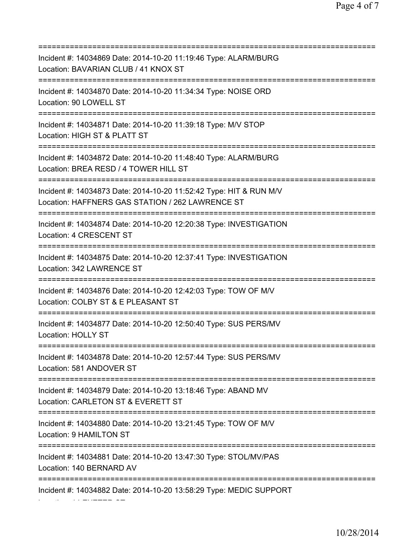=========================================================================== Incident #: 14034869 Date: 2014-10-20 11:19:46 Type: ALARM/BURG Location: BAVARIAN CLUB / 41 KNOX ST =========================================================================== Incident #: 14034870 Date: 2014-10-20 11:34:34 Type: NOISE ORD Location: 90 LOWELL ST =========================================================================== Incident #: 14034871 Date: 2014-10-20 11:39:18 Type: M/V STOP Location: HIGH ST & PLATT ST =========================================================================== Incident #: 14034872 Date: 2014-10-20 11:48:40 Type: ALARM/BURG Location: BREA RESD / 4 TOWER HILL ST =========================================================================== Incident #: 14034873 Date: 2014-10-20 11:52:42 Type: HIT & RUN M/V Location: HAFFNERS GAS STATION / 262 LAWRENCE ST =========================================================================== Incident #: 14034874 Date: 2014-10-20 12:20:38 Type: INVESTIGATION Location: 4 CRESCENT ST =========================================================================== Incident #: 14034875 Date: 2014-10-20 12:37:41 Type: INVESTIGATION Location: 342 LAWRENCE ST =========================================================================== Incident #: 14034876 Date: 2014-10-20 12:42:03 Type: TOW OF M/V Location: COLBY ST & E PLEASANT ST =========================================================================== Incident #: 14034877 Date: 2014-10-20 12:50:40 Type: SUS PERS/MV Location: HOLLY ST =========================================================================== Incident #: 14034878 Date: 2014-10-20 12:57:44 Type: SUS PERS/MV Location: 581 ANDOVER ST =========================================================================== Incident #: 14034879 Date: 2014-10-20 13:18:46 Type: ABAND MV Location: CARLETON ST & EVERETT ST =========================================================================== Incident #: 14034880 Date: 2014-10-20 13:21:45 Type: TOW OF M/V Location: 9 HAMILTON ST =========================================================================== Incident #: 14034881 Date: 2014-10-20 13:47:30 Type: STOL/MV/PAS Location: 140 BERNARD AV =========================================================================== Incident #: 14034882 Date: 2014-10-20 13:58:29 Type: MEDIC SUPPORT

Location: 14 EXETER ST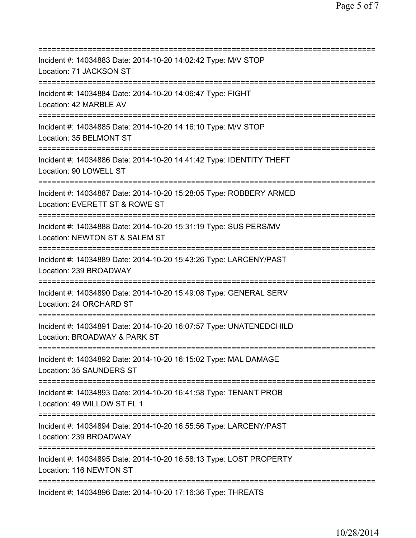| Incident #: 14034883 Date: 2014-10-20 14:02:42 Type: M/V STOP<br>Location: 71 JACKSON ST                                          |
|-----------------------------------------------------------------------------------------------------------------------------------|
| Incident #: 14034884 Date: 2014-10-20 14:06:47 Type: FIGHT<br>Location: 42 MARBLE AV                                              |
| Incident #: 14034885 Date: 2014-10-20 14:16:10 Type: M/V STOP<br>Location: 35 BELMONT ST<br>================================      |
| Incident #: 14034886 Date: 2014-10-20 14:41:42 Type: IDENTITY THEFT<br>Location: 90 LOWELL ST<br>;=============================== |
| Incident #: 14034887 Date: 2014-10-20 15:28:05 Type: ROBBERY ARMED<br>Location: EVERETT ST & ROWE ST                              |
| Incident #: 14034888 Date: 2014-10-20 15:31:19 Type: SUS PERS/MV<br>Location: NEWTON ST & SALEM ST                                |
| Incident #: 14034889 Date: 2014-10-20 15:43:26 Type: LARCENY/PAST<br>Location: 239 BROADWAY                                       |
| Incident #: 14034890 Date: 2014-10-20 15:49:08 Type: GENERAL SERV<br>Location: 24 ORCHARD ST                                      |
| Incident #: 14034891 Date: 2014-10-20 16:07:57 Type: UNATENEDCHILD<br>Location: BROADWAY & PARK ST                                |
| Incident #: 14034892 Date: 2014-10-20 16:15:02 Type: MAL DAMAGE<br>Location: 35 SAUNDERS ST                                       |
| Incident #: 14034893 Date: 2014-10-20 16:41:58 Type: TENANT PROB<br>Location: 49 WILLOW ST FL 1                                   |
| Incident #: 14034894 Date: 2014-10-20 16:55:56 Type: LARCENY/PAST<br>Location: 239 BROADWAY                                       |
| Incident #: 14034895 Date: 2014-10-20 16:58:13 Type: LOST PROPERTY<br>Location: 116 NEWTON ST                                     |
| Incident #: 14034896 Date: 2014-10-20 17:16:36 Type: THREATS                                                                      |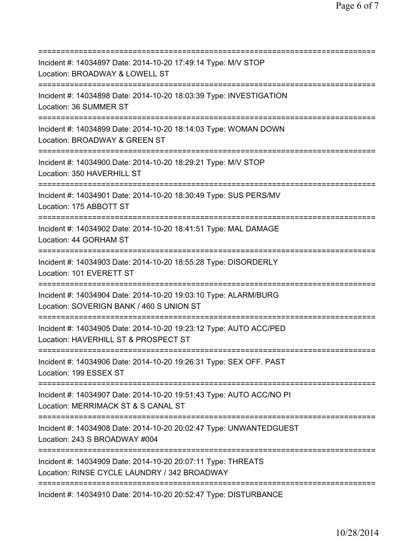| Incident #: 14034897 Date: 2014-10-20 17:49:14 Type: M/V STOP<br>Location: BROADWAY & LOWELL ST                                      |
|--------------------------------------------------------------------------------------------------------------------------------------|
| Incident #: 14034898 Date: 2014-10-20 18:03:39 Type: INVESTIGATION<br>Location: 36 SUMMER ST                                         |
| Incident #: 14034899 Date: 2014-10-20 18:14:03 Type: WOMAN DOWN<br>Location: BROADWAY & GREEN ST<br>==========================       |
| Incident #: 14034900 Date: 2014-10-20 18:29:21 Type: M/V STOP<br>Location: 350 HAVERHILL ST                                          |
| Incident #: 14034901 Date: 2014-10-20 18:30:49 Type: SUS PERS/MV<br>Location: 175 ABBOTT ST                                          |
| Incident #: 14034902 Date: 2014-10-20 18:41:51 Type: MAL DAMAGE<br>Location: 44 GORHAM ST<br>==================================      |
| Incident #: 14034903 Date: 2014-10-20 18:55:28 Type: DISORDERLY<br>Location: 101 EVERETT ST<br>==================                    |
| Incident #: 14034904 Date: 2014-10-20 19:03:10 Type: ALARM/BURG<br>Location: SOVERIGN BANK / 460 S UNION ST                          |
| Incident #: 14034905 Date: 2014-10-20 19:23:12 Type: AUTO ACC/PED<br>Location: HAVERHILL ST & PROSPECT ST                            |
| Incident #: 14034906 Date: 2014-10-20 19:26:31 Type: SEX OFF. PAST<br>Location: 199 ESSEX ST<br>;=================================== |
| Incident #: 14034907 Date: 2014-10-20 19:51:43 Type: AUTO ACC/NO PI<br>Location: MERRIMACK ST & S CANAL ST                           |
| Incident #: 14034908 Date: 2014-10-20 20:02:47 Type: UNWANTEDGUEST<br>Location: 243 S BROADWAY #004                                  |
| Incident #: 14034909 Date: 2014-10-20 20:07:11 Type: THREATS<br>Location: RINSE CYCLE LAUNDRY / 342 BROADWAY                         |
| Incident #: 14034910 Date: 2014-10-20 20:52:47 Type: DISTURBANCE                                                                     |